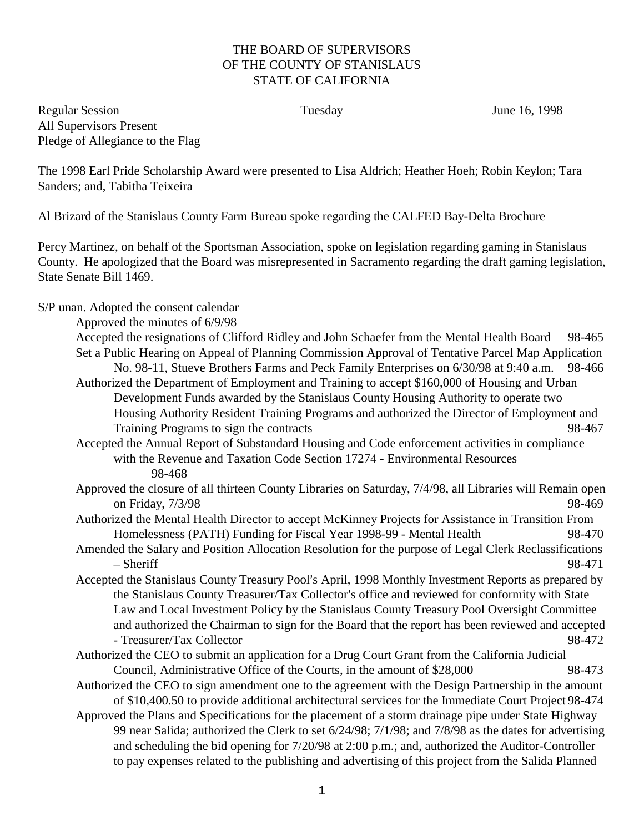## THE BOARD OF SUPERVISORS OF THE COUNTY OF STANISLAUS STATE OF CALIFORNIA

Regular Session Tuesday June 16, 1998 All Supervisors Present Pledge of Allegiance to the Flag

The 1998 Earl Pride Scholarship Award were presented to Lisa Aldrich; Heather Hoeh; Robin Keylon; Tara Sanders; and, Tabitha Teixeira

Al Brizard of the Stanislaus County Farm Bureau spoke regarding the CALFED Bay-Delta Brochure

Percy Martinez, on behalf of the Sportsman Association, spoke on legislation regarding gaming in Stanislaus County. He apologized that the Board was misrepresented in Sacramento regarding the draft gaming legislation, State Senate Bill 1469.

S/P unan. Adopted the consent calendar

Approved the minutes of 6/9/98

- Accepted the resignations of Clifford Ridley and John Schaefer from the Mental Health Board 98-465 Set a Public Hearing on Appeal of Planning Commission Approval of Tentative Parcel Map Application No. 98-11, Stueve Brothers Farms and Peck Family Enterprises on 6/30/98 at 9:40 a.m. 98-466 Authorized the Department of Employment and Training to accept \$160,000 of Housing and Urban
	- Development Funds awarded by the Stanislaus County Housing Authority to operate two Housing Authority Resident Training Programs and authorized the Director of Employment and Training Programs to sign the contracts 98-467
- Accepted the Annual Report of Substandard Housing and Code enforcement activities in compliance with the Revenue and Taxation Code Section 17274 - Environmental Resources 98-468
- Approved the closure of all thirteen County Libraries on Saturday, 7/4/98, all Libraries will Remain open on Friday, 7/3/98 98-469
- Authorized the Mental Health Director to accept McKinney Projects for Assistance in Transition From Homelessness (PATH) Funding for Fiscal Year 1998-99 - Mental Health 98-470
- Amended the Salary and Position Allocation Resolution for the purpose of Legal Clerk Reclassifications – Sheriff 98-471
- Accepted the Stanislaus County Treasury Pool's April, 1998 Monthly Investment Reports as prepared by the Stanislaus County Treasurer/Tax Collector's office and reviewed for conformity with State Law and Local Investment Policy by the Stanislaus County Treasury Pool Oversight Committee and authorized the Chairman to sign for the Board that the report has been reviewed and accepted - Treasurer/Tax Collector 98-472
- Authorized the CEO to submit an application for a Drug Court Grant from the California Judicial Council, Administrative Office of the Courts, in the amount of \$28,000 98-473
- Authorized the CEO to sign amendment one to the agreement with the Design Partnership in the amount of \$10,400.50 to provide additional architectural services for the Immediate Court Project 98-474
- Approved the Plans and Specifications for the placement of a storm drainage pipe under State Highway 99 near Salida; authorized the Clerk to set 6/24/98; 7/1/98; and 7/8/98 as the dates for advertising and scheduling the bid opening for 7/20/98 at 2:00 p.m.; and, authorized the Auditor-Controller to pay expenses related to the publishing and advertising of this project from the Salida Planned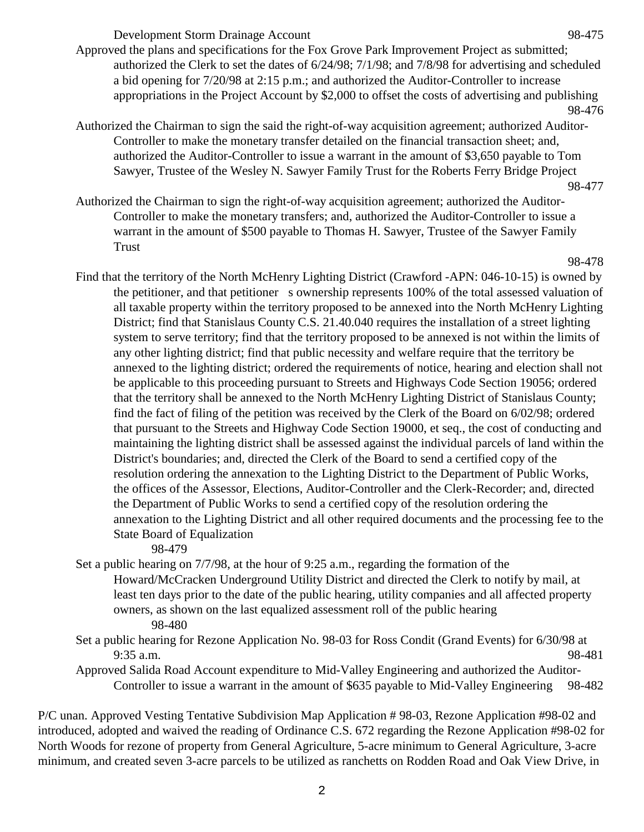Development Storm Drainage Account 98-475

Approved the plans and specifications for the Fox Grove Park Improvement Project as submitted; authorized the Clerk to set the dates of 6/24/98; 7/1/98; and 7/8/98 for advertising and scheduled a bid opening for 7/20/98 at 2:15 p.m.; and authorized the Auditor-Controller to increase appropriations in the Project Account by \$2,000 to offset the costs of advertising and publishing 98-476

Authorized the Chairman to sign the said the right-of-way acquisition agreement; authorized Auditor-Controller to make the monetary transfer detailed on the financial transaction sheet; and, authorized the Auditor-Controller to issue a warrant in the amount of \$3,650 payable to Tom Sawyer, Trustee of the Wesley N. Sawyer Family Trust for the Roberts Ferry Bridge Project

Authorized the Chairman to sign the right-of-way acquisition agreement; authorized the Auditor-Controller to make the monetary transfers; and, authorized the Auditor-Controller to issue a warrant in the amount of \$500 payable to Thomas H. Sawyer, Trustee of the Sawyer Family Trust

98-478

Find that the territory of the North McHenry Lighting District (Crawford -APN: 046-10-15) is owned by the petitioner, and that petitioner s ownership represents 100% of the total assessed valuation of all taxable property within the territory proposed to be annexed into the North McHenry Lighting District; find that Stanislaus County C.S. 21.40.040 requires the installation of a street lighting system to serve territory; find that the territory proposed to be annexed is not within the limits of any other lighting district; find that public necessity and welfare require that the territory be annexed to the lighting district; ordered the requirements of notice, hearing and election shall not be applicable to this proceeding pursuant to Streets and Highways Code Section 19056; ordered that the territory shall be annexed to the North McHenry Lighting District of Stanislaus County; find the fact of filing of the petition was received by the Clerk of the Board on 6/02/98; ordered that pursuant to the Streets and Highway Code Section 19000, et seq., the cost of conducting and maintaining the lighting district shall be assessed against the individual parcels of land within the District's boundaries; and, directed the Clerk of the Board to send a certified copy of the resolution ordering the annexation to the Lighting District to the Department of Public Works, the offices of the Assessor, Elections, Auditor-Controller and the Clerk-Recorder; and, directed the Department of Public Works to send a certified copy of the resolution ordering the annexation to the Lighting District and all other required documents and the processing fee to the State Board of Equalization

98-479

- Set a public hearing on 7/7/98, at the hour of 9:25 a.m., regarding the formation of the Howard/McCracken Underground Utility District and directed the Clerk to notify by mail, at least ten days prior to the date of the public hearing, utility companies and all affected property owners, as shown on the last equalized assessment roll of the public hearing 98-480
- Set a public hearing for Rezone Application No. 98-03 for Ross Condit (Grand Events) for 6/30/98 at 9:35 a.m. 98-481
- Approved Salida Road Account expenditure to Mid-Valley Engineering and authorized the Auditor-Controller to issue a warrant in the amount of \$635 payable to Mid-Valley Engineering 98-482

P/C unan. Approved Vesting Tentative Subdivision Map Application # 98-03, Rezone Application #98-02 and introduced, adopted and waived the reading of Ordinance C.S. 672 regarding the Rezone Application #98-02 for North Woods for rezone of property from General Agriculture, 5-acre minimum to General Agriculture, 3-acre minimum, and created seven 3-acre parcels to be utilized as ranchetts on Rodden Road and Oak View Drive, in

<sup>98-477</sup>